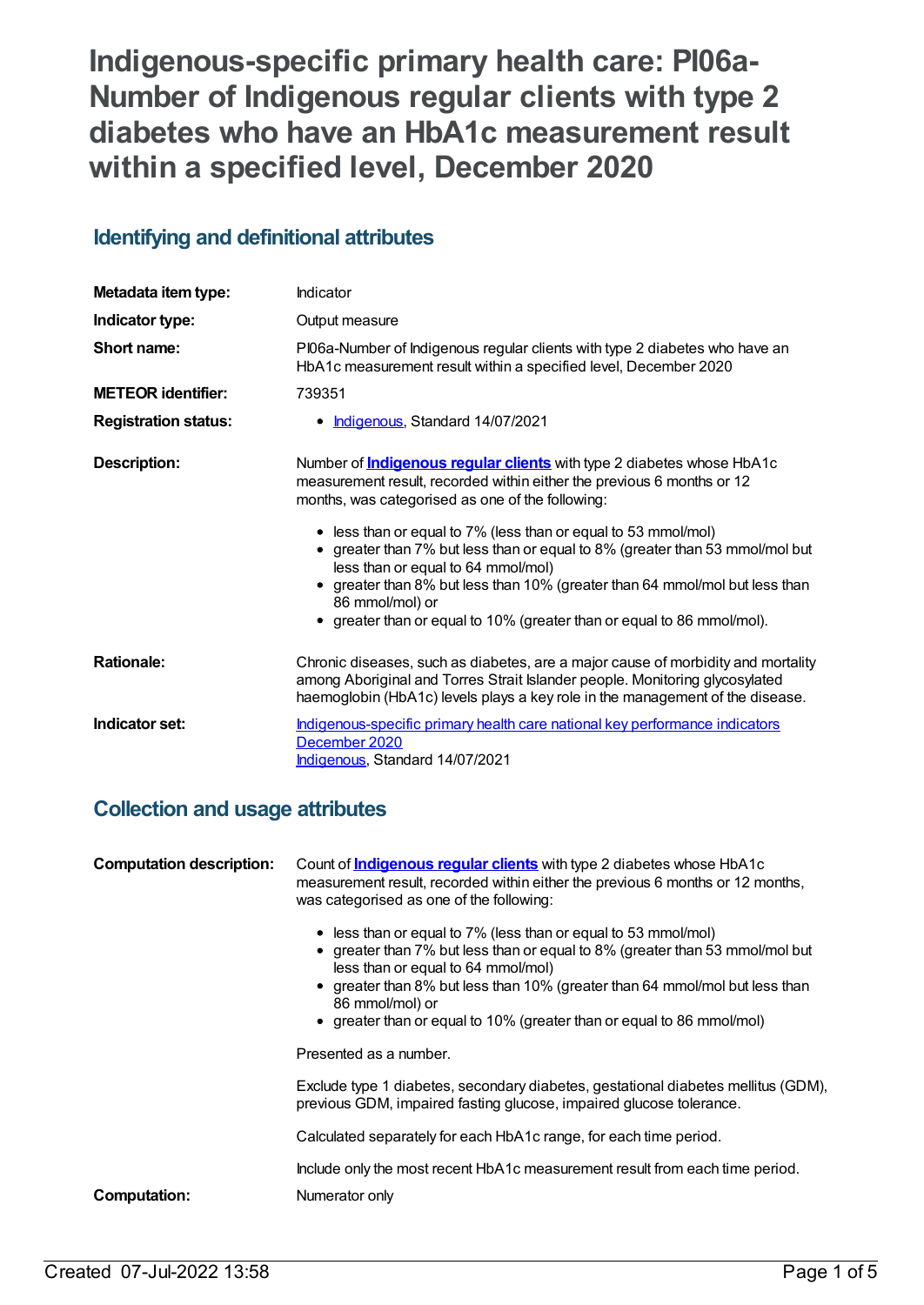**Indigenous-specific primary health care: PI06a-Number of Indigenous regular clients with type 2 diabetes who have an HbA1c measurement result within a specified level, December 2020**

# **Identifying and definitional attributes**

| Metadata item type:         | Indicator                                                                                                                                                                                                                                                                                                                                                                                                                                                                                                                                                                    |
|-----------------------------|------------------------------------------------------------------------------------------------------------------------------------------------------------------------------------------------------------------------------------------------------------------------------------------------------------------------------------------------------------------------------------------------------------------------------------------------------------------------------------------------------------------------------------------------------------------------------|
| Indicator type:             | Output measure                                                                                                                                                                                                                                                                                                                                                                                                                                                                                                                                                               |
| Short name:                 | PI06a-Number of Indigenous regular clients with type 2 diabetes who have an<br>HbA1c measurement result within a specified level, December 2020                                                                                                                                                                                                                                                                                                                                                                                                                              |
| <b>METEOR identifier:</b>   | 739351                                                                                                                                                                                                                                                                                                                                                                                                                                                                                                                                                                       |
| <b>Registration status:</b> | • Indigenous, Standard 14/07/2021                                                                                                                                                                                                                                                                                                                                                                                                                                                                                                                                            |
| <b>Description:</b>         | Number of <b>Indigenous regular clients</b> with type 2 diabetes whose HbA1c<br>measurement result, recorded within either the previous 6 months or 12<br>months, was categorised as one of the following:<br>• less than or equal to 7% (less than or equal to 53 mmol/mol)<br>• greater than 7% but less than or equal to 8% (greater than 53 mmol/mol but<br>less than or equal to 64 mmol/mol)<br>greater than 8% but less than 10% (greater than 64 mmol/mol but less than<br>86 mmol/mol) or<br>• greater than or equal to 10% (greater than or equal to 86 mmol/mol). |
| <b>Rationale:</b>           | Chronic diseases, such as diabetes, are a major cause of morbidity and mortality<br>among Aboriginal and Torres Strait Islander people. Monitoring glycosylated<br>haemoglobin (HbA1c) levels plays a key role in the management of the disease.                                                                                                                                                                                                                                                                                                                             |
| Indicator set:              | Indigenous-specific primary health care national key performance indicators<br>December 2020<br>Indigenous, Standard 14/07/2021                                                                                                                                                                                                                                                                                                                                                                                                                                              |

# **Collection and usage attributes**

**Computation description:** Count of **[Indigenous](https://meteor.aihw.gov.au/content/737993) regular clients** with type 2 diabetes whose HbA1c measurement result, recorded within either the previous 6 months or 12 months, was categorised as one of the following: • less than or equal to 7% (less than or equal to 53 mmol/mol) greater than 7% but less than or equal to 8% (greater than 53 mmol/mol but less than or equal to 64 mmol/mol) greater than 8% but less than 10% (greater than 64 mmol/mol but less than 86 mmol/mol) or • greater than or equal to 10% (greater than or equal to 86 mmol/mol) Presented as a number. Exclude type 1 diabetes, secondary diabetes, gestational diabetes mellitus (GDM), previous GDM, impaired fasting glucose, impaired glucose tolerance. Calculated separately for each HbA1c range, for each time period. Include only the most recent HbA1c measurement result from each time period. **Computation:** Numerator only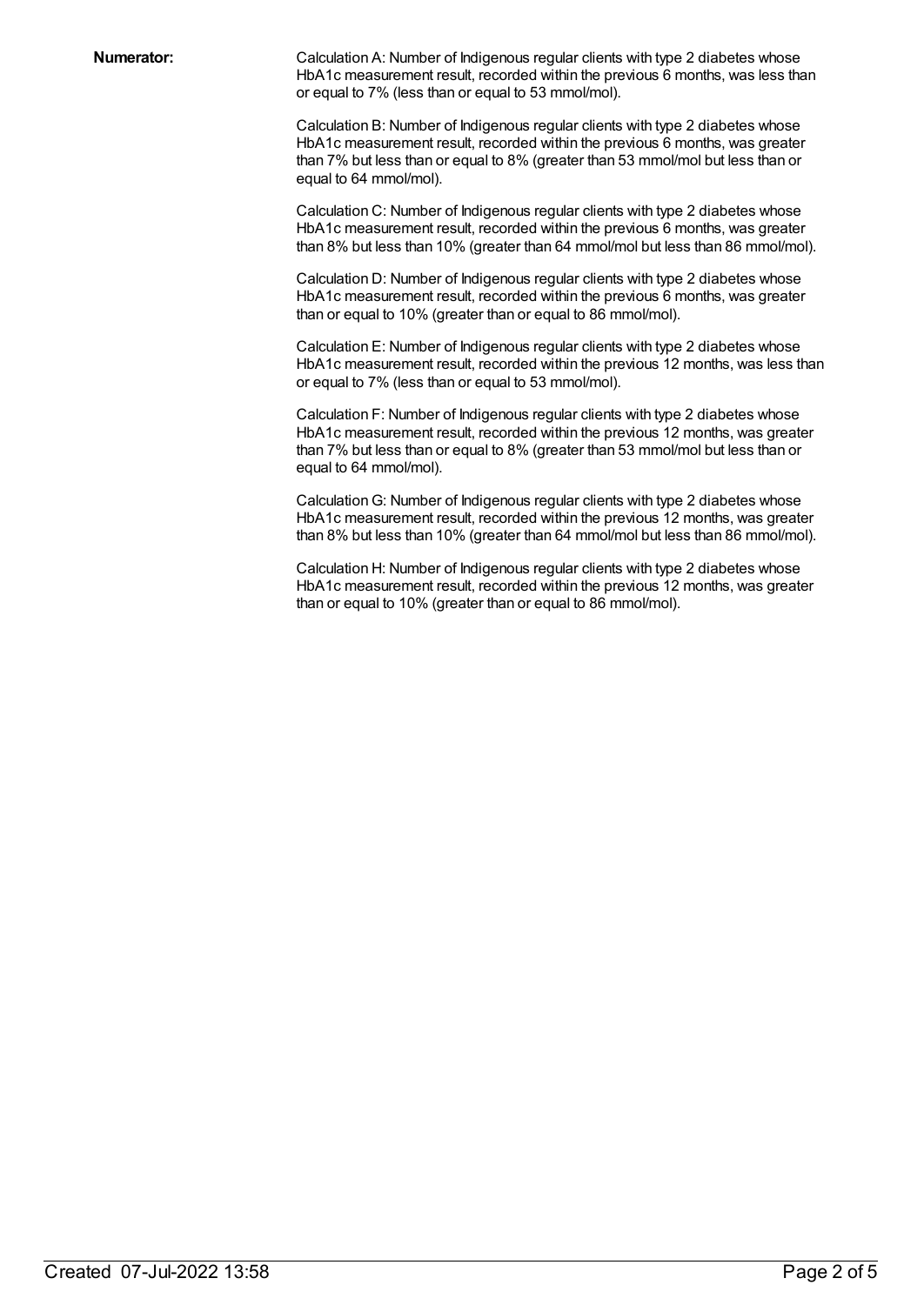**Numerator:** Calculation A: Number of Indigenous regular clients with type 2 diabetes whose HbA1c measurement result, recorded within the previous 6 months, was less than or equal to 7% (less than or equal to 53 mmol/mol).

> Calculation B: Number of Indigenous regular clients with type 2 diabetes whose HbA1c measurement result, recorded within the previous 6 months, was greater than 7% but less than or equal to 8% (greater than 53 mmol/mol but less than or equal to 64 mmol/mol).

Calculation C: Number of Indigenous regular clients with type 2 diabetes whose HbA1c measurement result, recorded within the previous 6 months, was greater than 8% but less than 10% (greater than 64 mmol/mol but less than 86 mmol/mol).

Calculation D: Number of Indigenous regular clients with type 2 diabetes whose HbA1c measurement result, recorded within the previous 6 months, was greater than or equal to 10% (greater than or equal to 86 mmol/mol).

Calculation E: Number of Indigenous regular clients with type 2 diabetes whose HbA1c measurement result, recorded within the previous 12 months, was less than or equal to 7% (less than or equal to 53 mmol/mol).

Calculation F: Number of Indigenous regular clients with type 2 diabetes whose HbA1c measurement result, recorded within the previous 12 months, was greater than 7% but less than or equal to 8% (greater than 53 mmol/mol but less than or equal to 64 mmol/mol).

CalculationG: Number of Indigenous regular clients with type 2 diabetes whose HbA1c measurement result, recorded within the previous 12 months, was greater than 8% but less than 10% (greater than 64 mmol/mol but less than 86 mmol/mol).

Calculation H: Number of Indigenous regular clients with type 2 diabetes whose HbA1c measurement result, recorded within the previous 12 months, was greater than or equal to 10% (greater than or equal to 86 mmol/mol).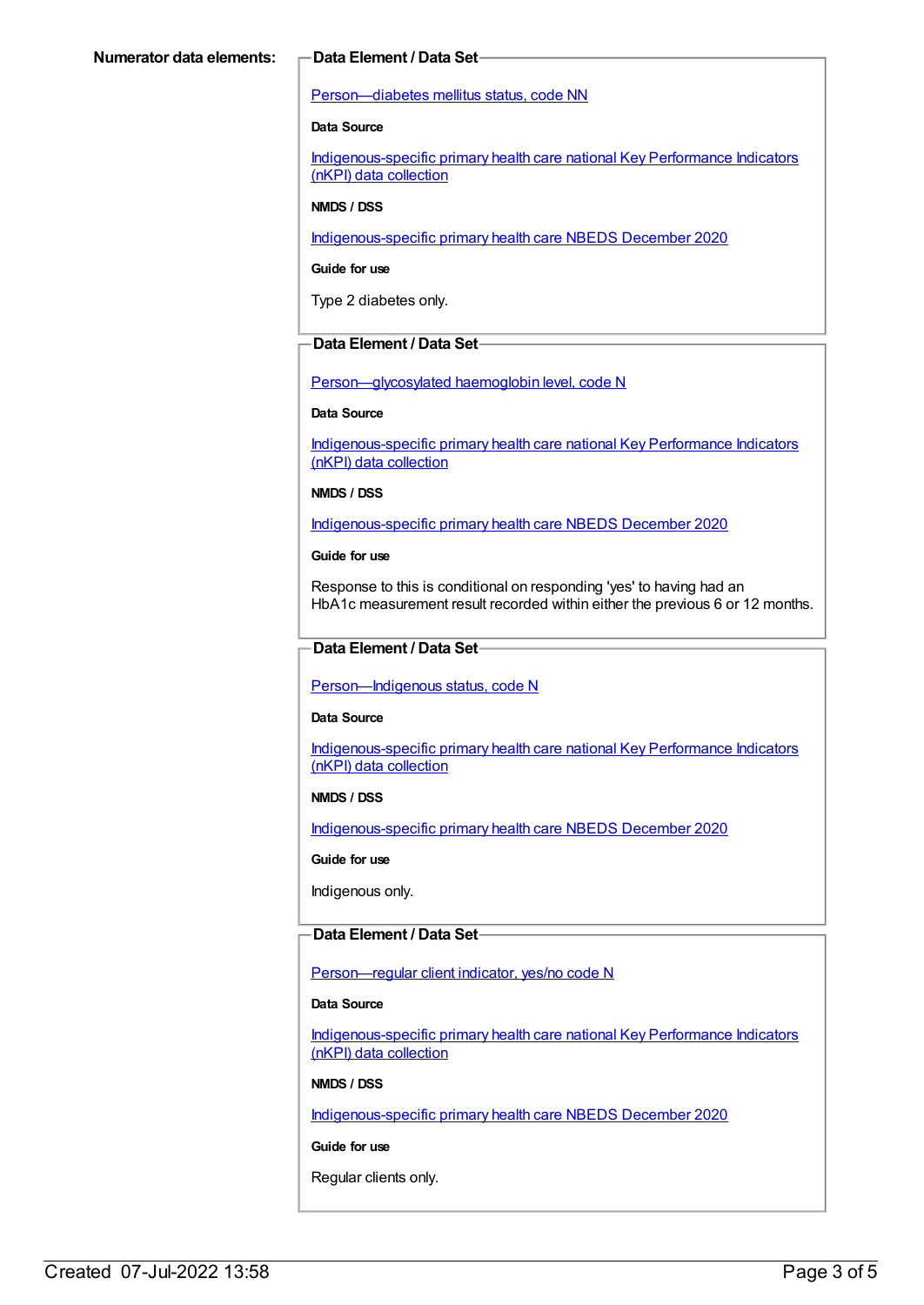#### [Person—diabetes](https://meteor.aihw.gov.au/content/270194) mellitus status, code NN

#### **Data Source**

[Indigenous-specific](https://meteor.aihw.gov.au/content/737914) primary health care national Key Performance Indicators (nKPI) data collection

#### **NMDS / DSS**

[Indigenous-specific](https://meteor.aihw.gov.au/content/738532) primary health care NBEDS December 2020

#### **Guide for use**

Type 2 diabetes only.

### **Data Element / Data Set**

[Person—glycosylated](https://meteor.aihw.gov.au/content/589601) haemoglobin level, code N

#### **Data Source**

[Indigenous-specific](https://meteor.aihw.gov.au/content/737914) primary health care national Key Performance Indicators (nKPI) data collection

#### **NMDS / DSS**

[Indigenous-specific](https://meteor.aihw.gov.au/content/738532) primary health care NBEDS December 2020

#### **Guide for use**

Response to this is conditional on responding 'yes' to having had an HbA1c measurement result recorded within either the previous 6 or 12 months.

### **Data Element / Data Set**

### Person-Indigenous status, code N

#### **Data Source**

[Indigenous-specific](https://meteor.aihw.gov.au/content/737914) primary health care national Key Performance Indicators (nKPI) data collection

#### **NMDS / DSS**

[Indigenous-specific](https://meteor.aihw.gov.au/content/738532) primary health care NBEDS December 2020

#### **Guide for use**

Indigenous only.

### **Data Element / Data Set**

#### Person-regular client indicator, yes/no code N

#### **Data Source**

[Indigenous-specific](https://meteor.aihw.gov.au/content/737914) primary health care national Key Performance Indicators (nKPI) data collection

#### **NMDS / DSS**

[Indigenous-specific](https://meteor.aihw.gov.au/content/738532) primary health care NBEDS December 2020

### **Guide for use**

Regular clients only.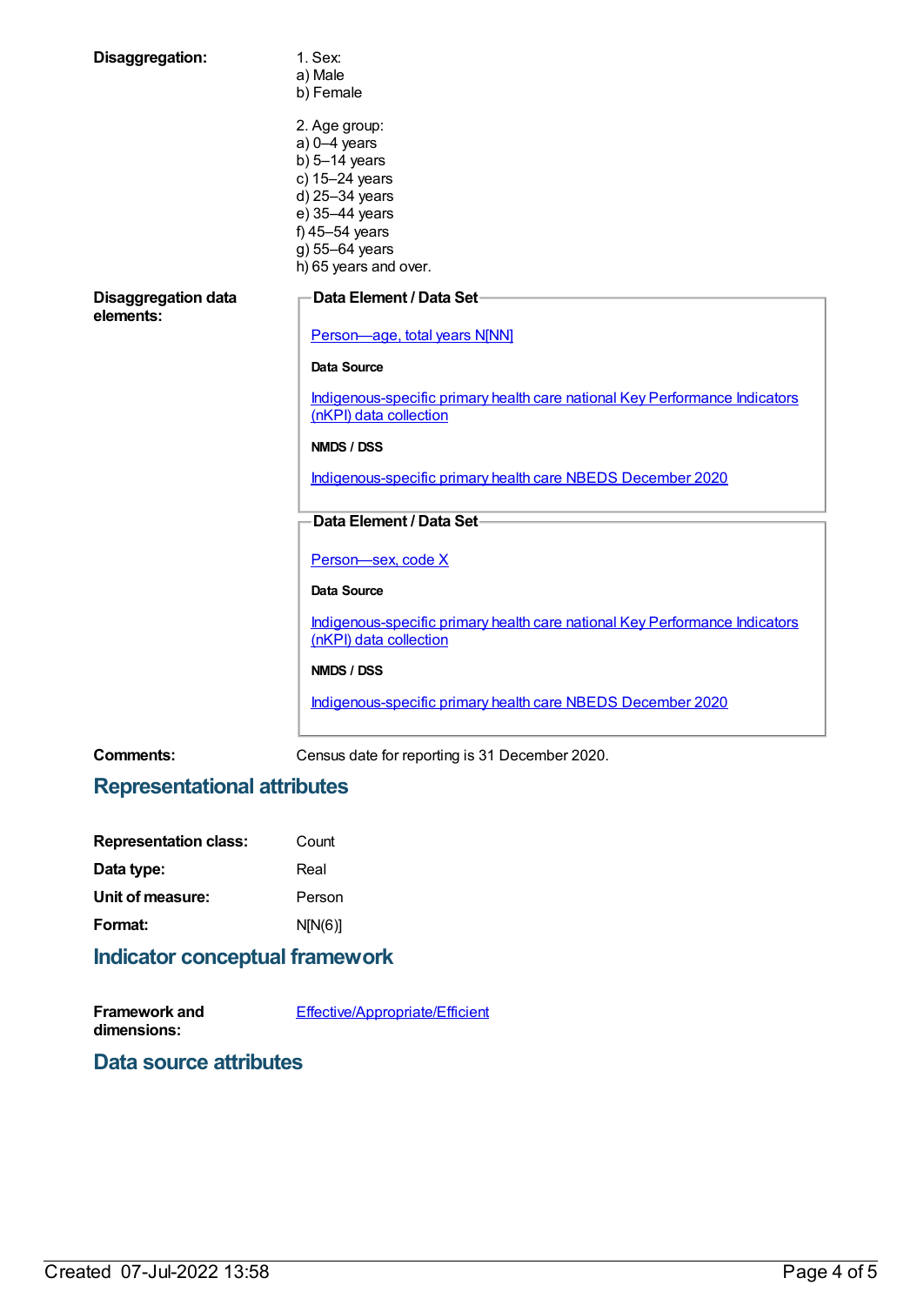| Disaggregation:                         | 1. Sex:<br>a) Male<br>b) Female                                                                       |
|-----------------------------------------|-------------------------------------------------------------------------------------------------------|
|                                         | 2. Age group:<br>$a)$ 0-4 years                                                                       |
|                                         | b) $5-14$ years                                                                                       |
|                                         | c) 15-24 years                                                                                        |
|                                         | d) 25-34 years                                                                                        |
|                                         | e) 35-44 years                                                                                        |
|                                         | f) 45-54 years                                                                                        |
|                                         | g) 55-64 years                                                                                        |
|                                         | h) 65 years and over.                                                                                 |
| <b>Disaggregation data</b><br>elements: | Data Element / Data Set-                                                                              |
|                                         | Person-age, total years N[NN]                                                                         |
|                                         | <b>Data Source</b>                                                                                    |
|                                         | Indigenous-specific primary health care national Key Performance Indicators<br>(nKPI) data collection |
|                                         | NMDS / DSS                                                                                            |
|                                         | Indigenous-specific primary health care NBEDS December 2020                                           |
|                                         | Data Element / Data Set-                                                                              |
|                                         | Person-sex, code X                                                                                    |
|                                         | <b>Data Source</b>                                                                                    |
|                                         | Indigenous-specific primary health care national Key Performance Indicators<br>(nKPI) data collection |
|                                         | NMDS / DSS                                                                                            |
|                                         | Indigenous-specific primary health care NBEDS December 2020                                           |

**Comments:** Census date for reporting is 31 December 2020.

# **Representational attributes**

| <b>Representation class:</b> | Count   |
|------------------------------|---------|
| Data type:                   | Real    |
| Unit of measure:             | Person  |
| Format:                      | N[N(6)] |
|                              |         |

# **Indicator conceptual framework**

**Framework and dimensions:** [Effective/Appropriate/Efficient](https://meteor.aihw.gov.au/content/410681)

**Data source attributes**